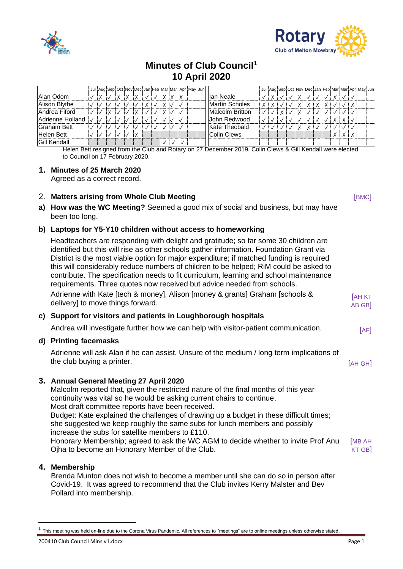



# **Minutes of Club Council<sup>1</sup> 10 April 2020**

|                     |  |  |  |  |   |  | Jul Aug Sep Oct Nov Dec Jan Feb Mar Mar Apr May Jun |  |                 |   |   |  |  |  |  |  | Jul Aug Sep Oct Nov Dec Jan Feb Mar Mar Apr May Jun |
|---------------------|--|--|--|--|---|--|-----------------------------------------------------|--|-----------------|---|---|--|--|--|--|--|-----------------------------------------------------|
| Alan Odom           |  |  |  |  | X |  |                                                     |  | llan Neale      |   |   |  |  |  |  |  |                                                     |
| Alison Blythe       |  |  |  |  | X |  |                                                     |  | Martín Scholes  | X | X |  |  |  |  |  |                                                     |
| Andrea Fiford       |  |  |  |  | X |  |                                                     |  | Malcolm Britton |   |   |  |  |  |  |  |                                                     |
| Adrienne Holland    |  |  |  |  |   |  |                                                     |  | John Redwood    |   |   |  |  |  |  |  |                                                     |
| Graham Bett         |  |  |  |  |   |  |                                                     |  | Kate Theobald   |   |   |  |  |  |  |  |                                                     |
| Helen Bett          |  |  |  |  |   |  |                                                     |  | Colin Clews     |   |   |  |  |  |  |  |                                                     |
| <b>Gill Kendall</b> |  |  |  |  |   |  |                                                     |  |                 |   |   |  |  |  |  |  |                                                     |

Helen Bett resigned from the Club and Rotary on 27 December 2019. Colin Clews & Gill Kendall were elected to Council on 17 February 2020.

#### **1. Minutes of 25 March 2020**

Agreed as a correct record.

#### **2. Matters arising from Whole Club Meeting and Club Server All Club Server All Club** (BMC)

**a) How was the WC Meeting?** Seemed a good mix of social and business, but may have been too long.

#### **b) Laptops for Y5-Y10 children without access to homeworking**

Headteachers are responding with delight and gratitude; so far some 30 children are identified but this will rise as other schools gather information. Foundation Grant via District is the most viable option for major expenditure; if matched funding is required this will considerably reduce numbers of children to be helped; RiM could be asked to contribute. The specification needs to fit curriculum, learning and school maintenance requirements. Three quotes now received but advice needed from schools. Adrienne with Kate [tech & money], Alison [money & grants] Graham [schools & delivery] to move things forward. **IAH KT** AB GB]

#### **c) Support for visitors and patients in Loughborough hospitals**

Andrea will investigate further how we can help with visitor-patient communication.  $[AF]$ 

#### **d) Printing facemasks**

Adrienne will ask Alan if he can assist. Unsure of the medium / long term implications of the club buying a printer. The club buying a printer.

## **3. Annual General Meeting 27 April 2020**

Malcolm reported that, given the restricted nature of the final months of this year continuity was vital so he would be asking current chairs to continue. Most draft committee reports have been received. Budget: Kate explained the challenges of drawing up a budget in these difficult times;

she suggested we keep roughly the same subs for lunch members and possibly increase the subs for satellite members to £110.

Honorary Membership; agreed to ask the WC AGM to decide whether to invite Prof Anu Ojha to become an Honorary Member of the Club. [MB AH KT GB]

#### **4. Membership**

Brenda Munton does not wish to become a member until she can do so in person after Covid-19. It was agreed to recommend that the Club invites Kerry Malster and Bev Pollard into membership.

<sup>1</sup> This meeting was held on-line due to the Corona Virus Pandemic. All references to "meetings" are to online meetings unless otherwise stated.